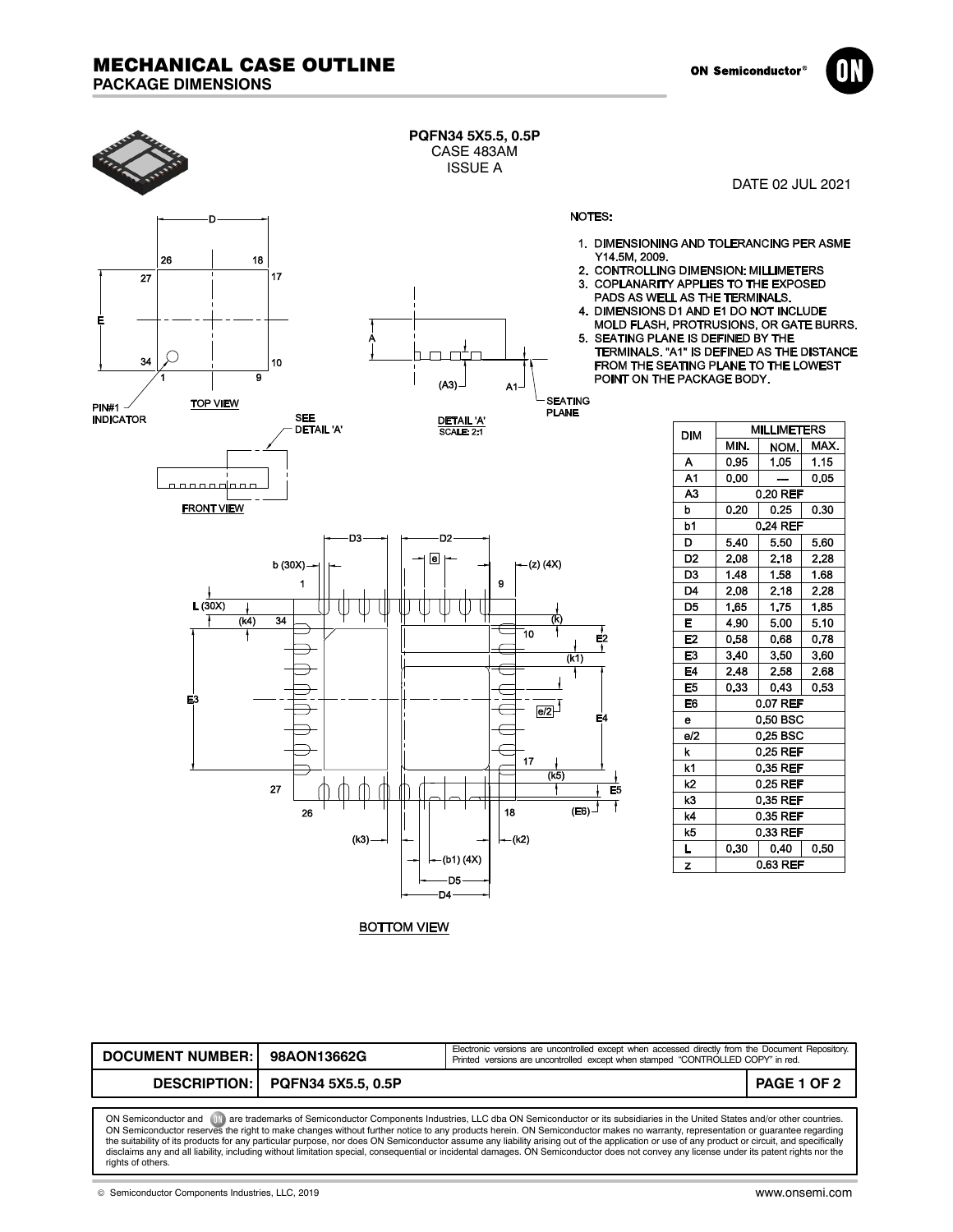



| DOCUMENT NUMBER: 98AON13662G                                                                                                                                           |                                 | Electronic versions are uncontrolled except when accessed directly from the Document Repository.<br>Printed versions are uncontrolled except when stamped "CONTROLLED COPY" in red. |             |  |
|------------------------------------------------------------------------------------------------------------------------------------------------------------------------|---------------------------------|-------------------------------------------------------------------------------------------------------------------------------------------------------------------------------------|-------------|--|
|                                                                                                                                                                        | DESCRIPTION: PQFN34 5X5.5, 0.5P |                                                                                                                                                                                     | PAGE 1 OF 2 |  |
|                                                                                                                                                                        |                                 |                                                                                                                                                                                     |             |  |
| are trademarks of Semiconductor Components Industries LLC dba ON Semiconductor or its subsidiaries in the United States and/or other countries<br>ON Semiconductor and |                                 |                                                                                                                                                                                     |             |  |

ON Semiconductor and 〔ll〕are trademarks of Semiconductor Components Industries, LLC dba ON Semiconductor or its subsidiaries in the United States and/or other countries.<br>ON Semiconductor reserves the right to make changes the suitability of its products for any particular purpose, nor does ON Semiconductor assume any liability arising out of the application or use of any product or circuit, and specifically<br>disclaims any and all liability,

© Semiconductor Components Industries, LLC, 2019 www.onsemi.com